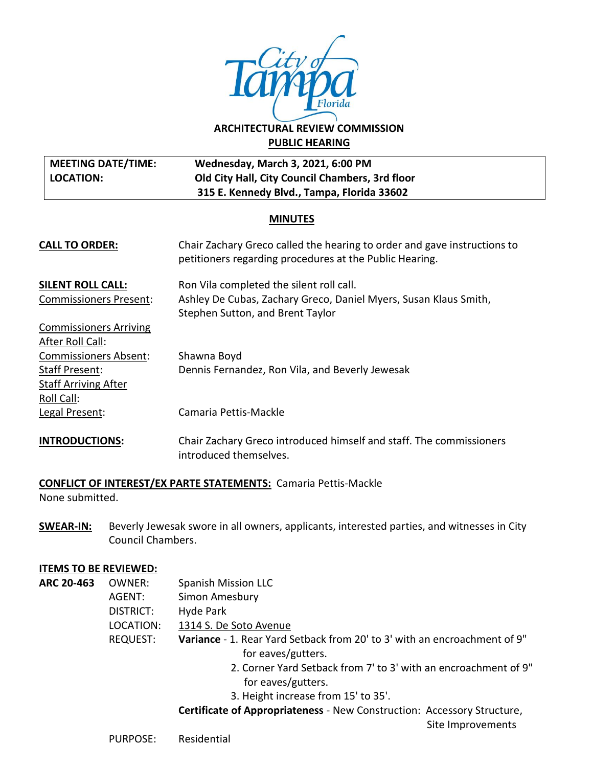

# **ARCHITECTURAL REVIEW COMMISSION PUBLIC HEARING**

| MEETING DATE/TIME: | <b>Wednesday, March 3, 2021, 6:00 PM</b>        |
|--------------------|-------------------------------------------------|
| LOCATION:          | Old City Hall, City Council Chambers, 3rd floor |
|                    | 315 E. Kennedy Blvd., Tampa, Florida 33602      |

### **MINUTES**

| <b>CALL TO ORDER:</b>                                                  | Chair Zachary Greco called the hearing to order and gave instructions to<br>petitioners regarding procedures at the Public Hearing. |  |
|------------------------------------------------------------------------|-------------------------------------------------------------------------------------------------------------------------------------|--|
| <b>SILENT ROLL CALL:</b>                                               | Ron Vila completed the silent roll call.                                                                                            |  |
| <b>Commissioners Present:</b>                                          | Ashley De Cubas, Zachary Greco, Daniel Myers, Susan Klaus Smith,<br>Stephen Sutton, and Brent Taylor                                |  |
| <b>Commissioners Arriving</b>                                          |                                                                                                                                     |  |
| After Roll Call:                                                       |                                                                                                                                     |  |
| <b>Commissioners Absent:</b>                                           | Shawna Boyd                                                                                                                         |  |
| <b>Staff Present:</b>                                                  | Dennis Fernandez, Ron Vila, and Beverly Jewesak                                                                                     |  |
| <b>Staff Arriving After</b>                                            |                                                                                                                                     |  |
| Roll Call:                                                             |                                                                                                                                     |  |
| Legal Present:                                                         | Camaria Pettis-Mackle                                                                                                               |  |
| <b>INTRODUCTIONS:</b>                                                  | Chair Zachary Greco introduced himself and staff. The commissioners<br>introduced themselves.                                       |  |
| <b>CONFLICT OF INTEREST/EX PARTE STATEMENTS: Camaria Pettis-Mackle</b> |                                                                                                                                     |  |

None submitted.

**SWEAR-IN:** Beverly Jewesak swore in all owners, applicants, interested parties, and witnesses in City Council Chambers.

### **ITEMS TO BE REVIEWED:**

- **ARC 20-463** OWNER: Spanish Mission LLC
	- AGENT: Simon Amesbury

DISTRICT: Hyde Park

- LOCATION: 1314 S. De Soto Avenue
- REQUEST: **Variance** 1. Rear Yard Setback from 20' to 3' with an encroachment of 9" for eaves/gutters.
	- 2. Corner Yard Setback from 7' to 3' with an encroachment of 9" for eaves/gutters.
	- 3. Height increase from 15' to 35'.

**Certificate of Appropriateness** - New Construction: Accessory Structure,

Site Improvements

PURPOSE: Residential